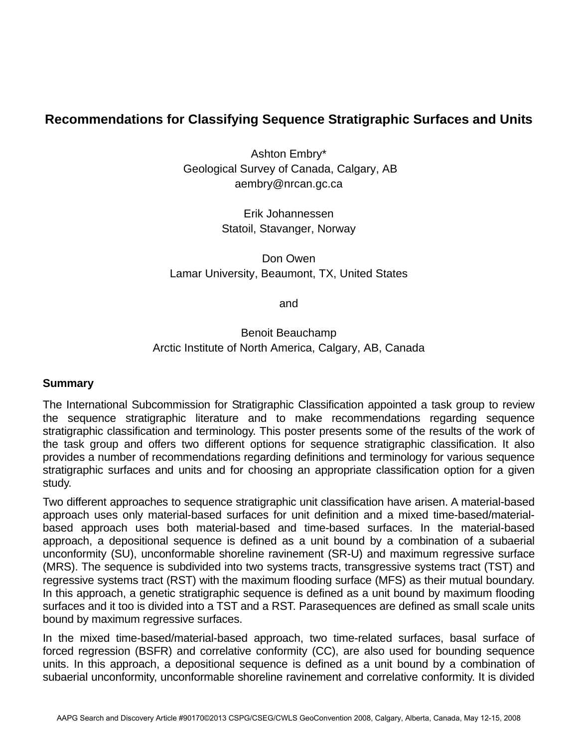## **Recommendations for Classifying Sequence Stratigraphic Surfaces and Units**

Ashton Embry\* Geological Survey of Canada, Calgary, AB aembry@nrcan.gc.ca

> Erik Johannessen Statoil, Stavanger, Norway

Don Owen Lamar University, Beaumont, TX, United States

and

Benoit Beauchamp Arctic Institute of North America, Calgary, AB, Canada

## **Summary**

The International Subcommission for Stratigraphic Classification appointed a task group to review the sequence stratigraphic literature and to make recommendations regarding sequence stratigraphic classification and terminology. This poster presents some of the results of the work of the task group and offers two different options for sequence stratigraphic classification. It also provides a number of recommendations regarding definitions and terminology for various sequence stratigraphic surfaces and units and for choosing an appropriate classification option for a given study.

Two different approaches to sequence stratigraphic unit classification have arisen. A material-based approach uses only material-based surfaces for unit definition and a mixed time-based/materialbased approach uses both material-based and time-based surfaces. In the material-based approach, a depositional sequence is defined as a unit bound by a combination of a subaerial unconformity (SU), unconformable shoreline ravinement (SR-U) and maximum regressive surface (MRS). The sequence is subdivided into two systems tracts, transgressive systems tract (TST) and regressive systems tract (RST) with the maximum flooding surface (MFS) as their mutual boundary. In this approach, a genetic stratigraphic sequence is defined as a unit bound by maximum flooding surfaces and it too is divided into a TST and a RST. Parasequences are defined as small scale units bound by maximum regressive surfaces.

In the mixed time-based/material-based approach, two time-related surfaces, basal surface of forced regression (BSFR) and correlative conformity (CC), are also used for bounding sequence units. In this approach, a depositional sequence is defined as a unit bound by a combination of subaerial unconformity, unconformable shoreline ravinement and correlative conformity. It is divided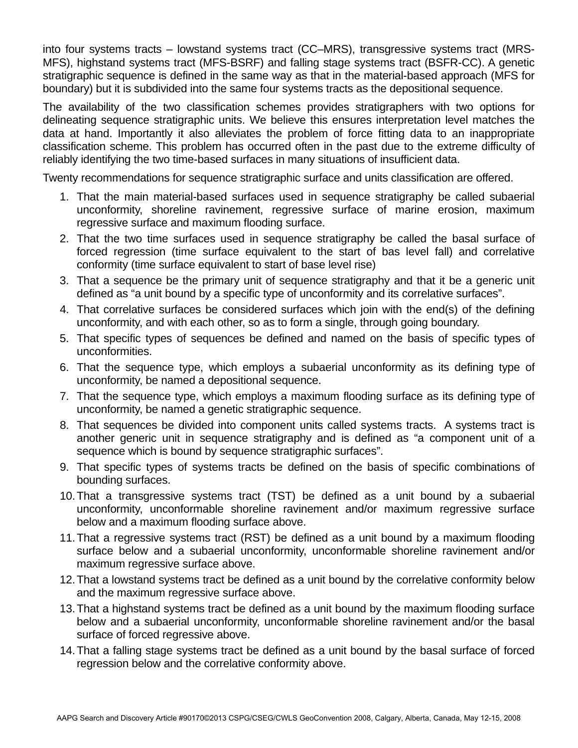into four systems tracts – lowstand systems tract (CC–MRS), transgressive systems tract (MRS-MFS), highstand systems tract (MFS-BSRF) and falling stage systems tract (BSFR-CC). A genetic stratigraphic sequence is defined in the same way as that in the material-based approach (MFS for boundary) but it is subdivided into the same four systems tracts as the depositional sequence.

The availability of the two classification schemes provides stratigraphers with two options for delineating sequence stratigraphic units. We believe this ensures interpretation level matches the data at hand. Importantly it also alleviates the problem of force fitting data to an inappropriate classification scheme. This problem has occurred often in the past due to the extreme difficulty of reliably identifying the two time-based surfaces in many situations of insufficient data.

Twenty recommendations for sequence stratigraphic surface and units classification are offered.

- 1. That the main material-based surfaces used in sequence stratigraphy be called subaerial unconformity, shoreline ravinement, regressive surface of marine erosion, maximum regressive surface and maximum flooding surface.
- 2. That the two time surfaces used in sequence stratigraphy be called the basal surface of forced regression (time surface equivalent to the start of bas level fall) and correlative conformity (time surface equivalent to start of base level rise)
- 3. That a sequence be the primary unit of sequence stratigraphy and that it be a generic unit defined as "a unit bound by a specific type of unconformity and its correlative surfaces".
- 4. That correlative surfaces be considered surfaces which join with the end(s) of the defining unconformity, and with each other, so as to form a single, through going boundary.
- 5. That specific types of sequences be defined and named on the basis of specific types of unconformities.
- 6. That the sequence type, which employs a subaerial unconformity as its defining type of unconformity, be named a depositional sequence.
- 7. That the sequence type, which employs a maximum flooding surface as its defining type of unconformity, be named a genetic stratigraphic sequence.
- 8. That sequences be divided into component units called systems tracts. A systems tract is another generic unit in sequence stratigraphy and is defined as "a component unit of a sequence which is bound by sequence stratigraphic surfaces".
- 9. That specific types of systems tracts be defined on the basis of specific combinations of bounding surfaces.
- 10. That a transgressive systems tract (TST) be defined as a unit bound by a subaerial unconformity, unconformable shoreline ravinement and/or maximum regressive surface below and a maximum flooding surface above.
- 11. That a regressive systems tract (RST) be defined as a unit bound by a maximum flooding surface below and a subaerial unconformity, unconformable shoreline ravinement and/or maximum regressive surface above.
- 12. That a lowstand systems tract be defined as a unit bound by the correlative conformity below and the maximum regressive surface above.
- 13. That a highstand systems tract be defined as a unit bound by the maximum flooding surface below and a subaerial unconformity, unconformable shoreline ravinement and/or the basal surface of forced regressive above.
- 14. That a falling stage systems tract be defined as a unit bound by the basal surface of forced regression below and the correlative conformity above.